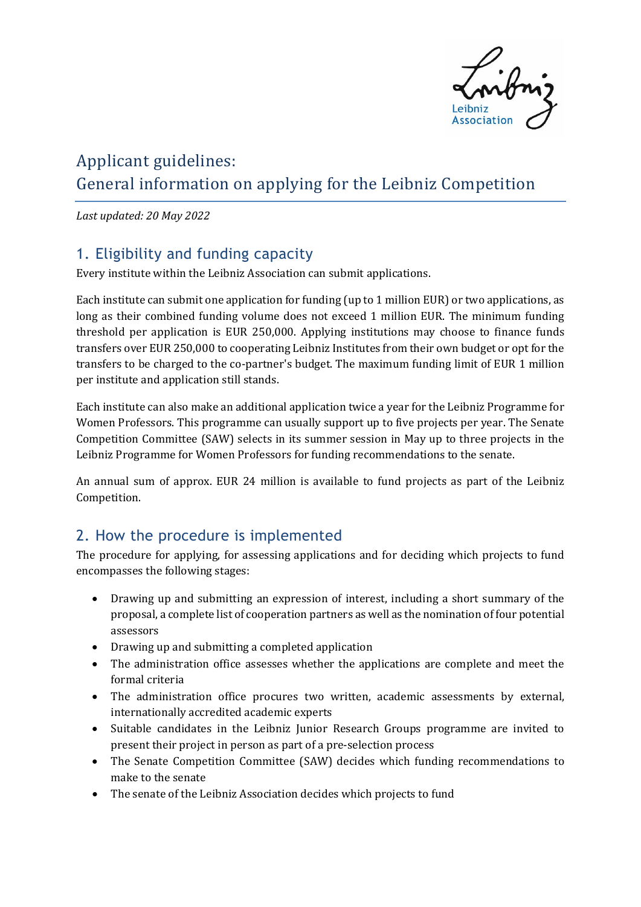

# Applicant guidelines: General information on applying for the Leibniz Competition

*Last updated: 20 May 2022* 

## 1. Eligibility and funding capacity

Every institute within the Leibniz Association can submit applications.

Each institute can submit one application for funding (up to 1 million EUR) or two applications, as long as their combined funding volume does not exceed 1 million EUR. The minimum funding threshold per application is EUR 250,000. Applying institutions may choose to finance funds transfers over EUR 250,000 to cooperating Leibniz Institutes from their own budget or opt for the transfers to be charged to the co-partner's budget. The maximum funding limit of EUR 1 million per institute and application still stands.

Each institute can also make an additional application twice a year for the Leibniz Programme for Women Professors. This programme can usually support up to five projects per year. The Senate Competition Committee (SAW) selects in its summer session in May up to three projects in the Leibniz Programme for Women Professors for funding recommendations to the senate.

An annual sum of approx. EUR 24 million is available to fund projects as part of the Leibniz Competition.

## 2. How the procedure is implemented

The procedure for applying, for assessing applications and for deciding which projects to fund encompasses the following stages:

- Drawing up and submitting an expression of interest, including a short summary of the proposal, a complete list of cooperation partners as well as the nomination of four potential assessors
- Drawing up and submitting a completed application
- The administration office assesses whether the applications are complete and meet the formal criteria
- The administration office procures two written, academic assessments by external, internationally accredited academic experts
- Suitable candidates in the Leibniz Junior Research Groups programme are invited to present their project in person as part of a pre-selection process
- The Senate Competition Committee (SAW) decides which funding recommendations to make to the senate
- The senate of the Leibniz Association decides which projects to fund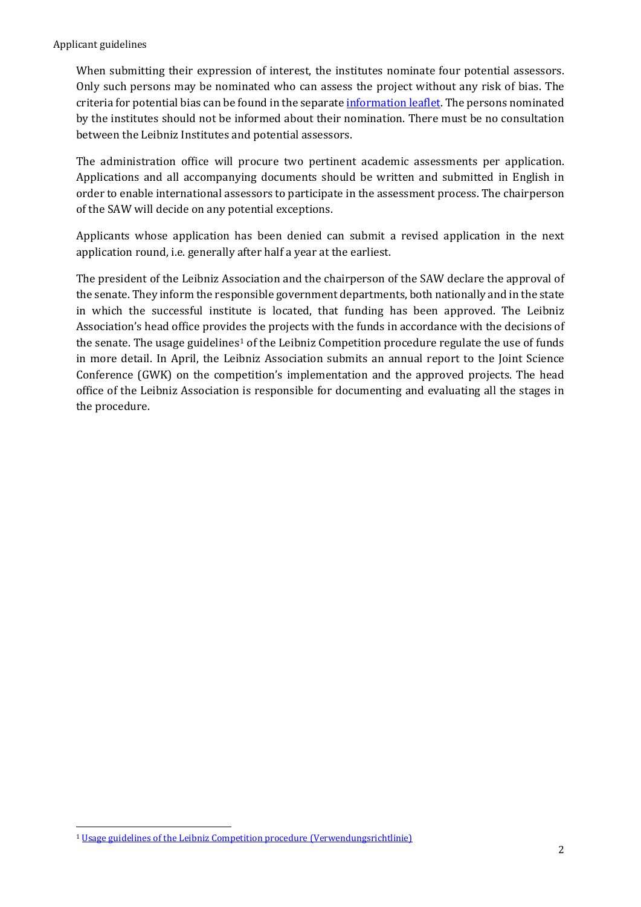When submitting their expression of interest, the institutes nominate four potential assessors. Only such persons may be nominated who can assess the project without any risk of bias. The criteria for potential bias can be found in the separate [information leaflet.](https://www.leibniz-gemeinschaft.de/fileadmin/user_upload/Bilder_und_Downloads/Forschung/Wettbewerb/Dokumente/13_Criteria_for_potential_bias.pdf) The persons nominated by the institutes should not be informed about their nomination. There must be no consultation between the Leibniz Institutes and potential assessors.

The administration office will procure two pertinent academic assessments per application. Applications and all accompanying documents should be written and submitted in English in order to enable international assessors to participate in the assessment process. The chairperson of the SAW will decide on any potential exceptions.

Applicants whose application has been denied can submit a revised application in the next application round, i.e. generally after half a year at the earliest.

The president of the Leibniz Association and the chairperson of the SAW declare the approval of the senate. They inform the responsible government departments, both nationally and in the state in which the successful institute is located, that funding has been approved. The Leibniz Association's head office provides the projects with the funds in accordance with the decisions of the senate. The usage guidelines<sup>[1](#page-1-0)</sup> of the Leibniz Competition procedure regulate the use of funds in more detail. In April, the Leibniz Association submits an annual report to the Joint Science Conference (GWK) on the competition's implementation and the approved projects. The head office of the Leibniz Association is responsible for documenting and evaluating all the stages in the procedure.

<span id="page-1-0"></span><sup>-</sup><sup>1</sup> [Usage guidelines of the Leibniz Competition procedure \(Verwendungsrichtlinie\)](https://www.leibniz-gemeinschaft.de/fileadmin/user_upload/Bilder_und_Downloads/Forschung/Wettbewerb/Dokumente/16_Verwendungsrichtlinien.pdf)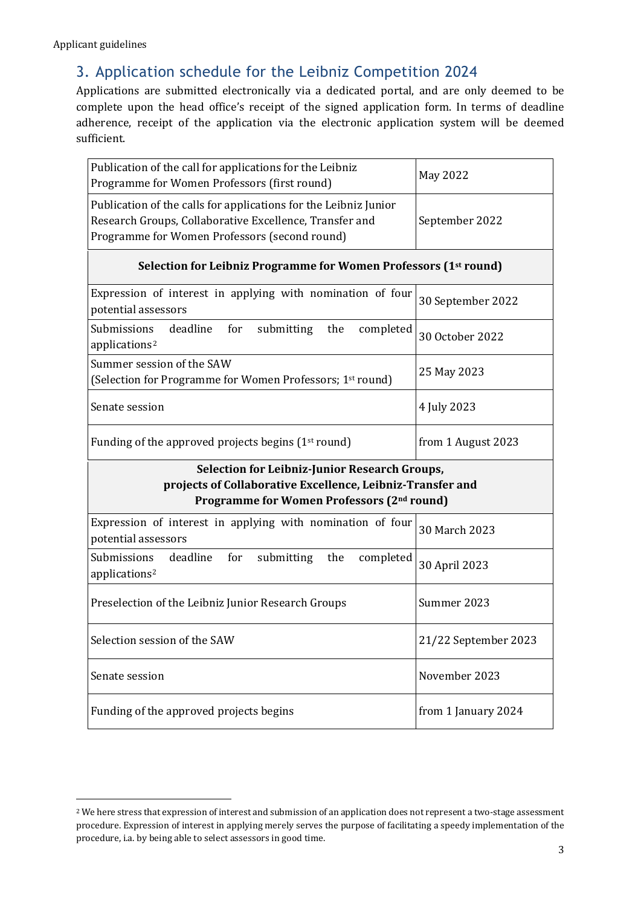# 3. Application schedule for the Leibniz Competition 2024

Applications are submitted electronically via a dedicated portal, and are only deemed to be complete upon the head office's receipt of the signed application form. In terms of deadline adherence, receipt of the application via the electronic application system will be deemed sufficient.

| Publication of the call for applications for the Leibniz<br>Programme for Women Professors (first round)                                                                     | <b>May 2022</b>      |
|------------------------------------------------------------------------------------------------------------------------------------------------------------------------------|----------------------|
| Publication of the calls for applications for the Leibniz Junior<br>Research Groups, Collaborative Excellence, Transfer and<br>Programme for Women Professors (second round) | September 2022       |
| Selection for Leibniz Programme for Women Professors (1 <sup>st</sup> round)                                                                                                 |                      |
| Expression of interest in applying with nomination of four<br>potential assessors                                                                                            | 30 September 2022    |
| Submissions<br>deadline<br>for<br>submitting<br>the<br>completed<br>applications <sup>2</sup>                                                                                | 30 October 2022      |
| Summer session of the SAW<br>(Selection for Programme for Women Professors; 1 <sup>st</sup> round)                                                                           | 25 May 2023          |
| Senate session                                                                                                                                                               | 4 July 2023          |
| Funding of the approved projects begins (1 <sup>st</sup> round)                                                                                                              | from 1 August 2023   |
| Selection for Leibniz-Junior Research Groups,<br>projects of Collaborative Excellence, Leibniz-Transfer and<br>Programme for Women Professors (2nd round)                    |                      |
| Expression of interest in applying with nomination of four<br>potential assessors                                                                                            | 30 March 2023        |
| deadline<br>Submissions<br>for<br>submitting<br>the<br>completed<br>applications <sup>2</sup>                                                                                | 30 April 2023        |
| Preselection of the Leibniz Junior Research Groups                                                                                                                           | Summer 2023          |
| Selection session of the SAW                                                                                                                                                 | 21/22 September 2023 |
| Senate session                                                                                                                                                               | November 2023        |
| Funding of the approved projects begins                                                                                                                                      | from 1 January 2024  |

<span id="page-2-0"></span><sup>-</sup><sup>2</sup> We here stress that expression of interest and submission of an application does not represent a two-stage assessment procedure. Expression of interest in applying merely serves the purpose of facilitating a speedy implementation of the procedure, i.a. by being able to select assessors in good time.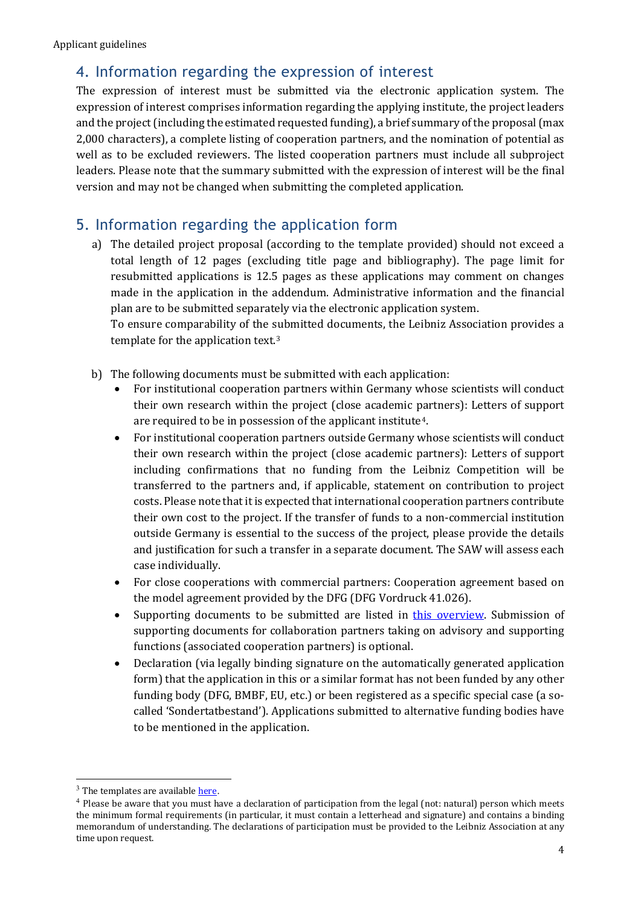## 4. Information regarding the expression of interest

The expression of interest must be submitted via the electronic application system. The expression of interest comprises information regarding the applying institute, the project leaders and the project (including the estimated requested funding), a brief summary of the proposal (max 2,000 characters), a complete listing of cooperation partners, and the nomination of potential as well as to be excluded reviewers. The listed cooperation partners must include all subproject leaders. Please note that the summary submitted with the expression of interest will be the final version and may not be changed when submitting the completed application.

#### 5. Information regarding the application form

a) The detailed project proposal (according to the template provided) should not exceed a total length of 12 pages (excluding title page and bibliography). The page limit for resubmitted applications is 12.5 pages as these applications may comment on changes made in the application in the addendum. Administrative information and the financial plan are to be submitted separately via the electronic application system.

To ensure comparability of the submitted documents, the Leibniz Association provides a template for the application text.[3](#page-3-0)

- b) The following documents must be submitted with each application:
	- For institutional cooperation partners within Germany whose scientists will conduct their own research within the project (close academic partners): Letters of support are required to be in possession of the applicant institute[4.](#page-3-1)
	- For institutional cooperation partners outside Germany whose scientists will conduct their own research within the project (close academic partners): Letters of support including confirmations that no funding from the Leibniz Competition will be transferred to the partners and, if applicable, statement on contribution to project costs. Please note that it is expected that international cooperation partners contribute their own cost to the project. If the transfer of funds to a non-commercial institution outside Germany is essential to the success of the project, please provide the details and justification for such a transfer in a separate document. The SAW will assess each case individually.
	- For close cooperations with commercial partners: Cooperation agreement based on the model agreement provided by the DFG (DFG Vordruck 41.026).
	- Supporting documents to be submitted are listed in [this overview.](https://www.leibniz-gemeinschaft.de/fileadmin/user_upload/Bilder_und_Downloads/Forschung/Wettbewerb/Dokumente/Liste_Kooperationspartner_Kategorie.pdf) Submission of supporting documents for collaboration partners taking on advisory and supporting functions (associated cooperation partners) is optional.
	- Declaration (via legally binding signature on the automatically generated application form) that the application in this or a similar format has not been funded by any other funding body (DFG, BMBF, EU, etc.) or been registered as a specific special case (a socalled 'Sondertatbestand'). Applications submitted to alternative funding bodies have to be mentioned in the application.

<span id="page-3-0"></span> $3$  The templates are available here.

<span id="page-3-1"></span><sup>&</sup>lt;sup>4</sup> Please be aware that you must have a declaration of participation from the legal (not: natural) person which meets the minimum formal requirements (in particular, it must contain a letterhead and signature) and contains a binding memorandum of understanding. The declarations of participation must be provided to the Leibniz Association at any time upon request.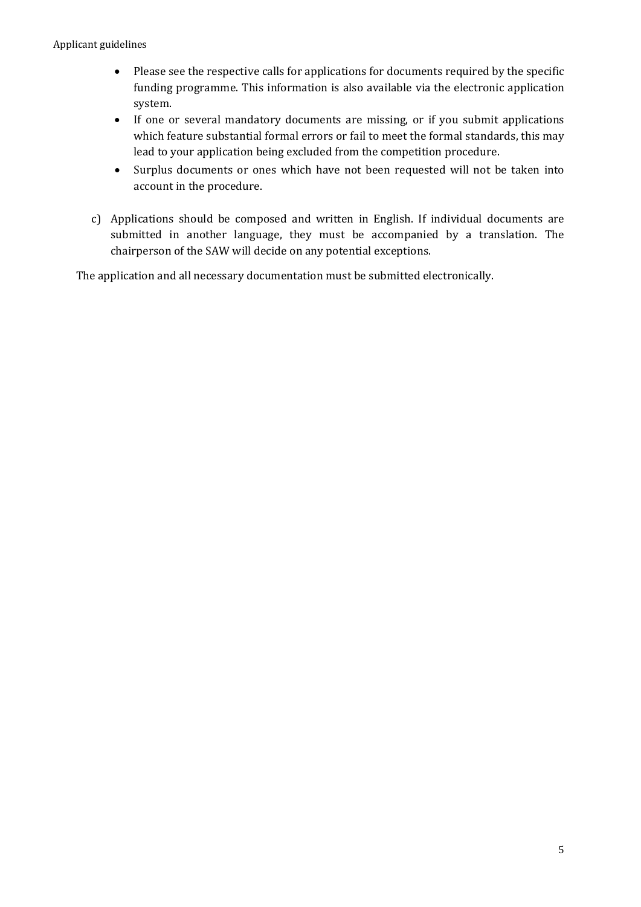- Please see the respective calls for applications for documents required by the specific funding programme. This information is also available via the electronic application system.
- If one or several mandatory documents are missing, or if you submit applications which feature substantial formal errors or fail to meet the formal standards, this may lead to your application being excluded from the competition procedure.
- Surplus documents or ones which have not been requested will not be taken into account in the procedure.
- c) Applications should be composed and written in English. If individual documents are submitted in another language, they must be accompanied by a translation. The chairperson of the SAW will decide on any potential exceptions.

The application and all necessary documentation must be submitted electronically.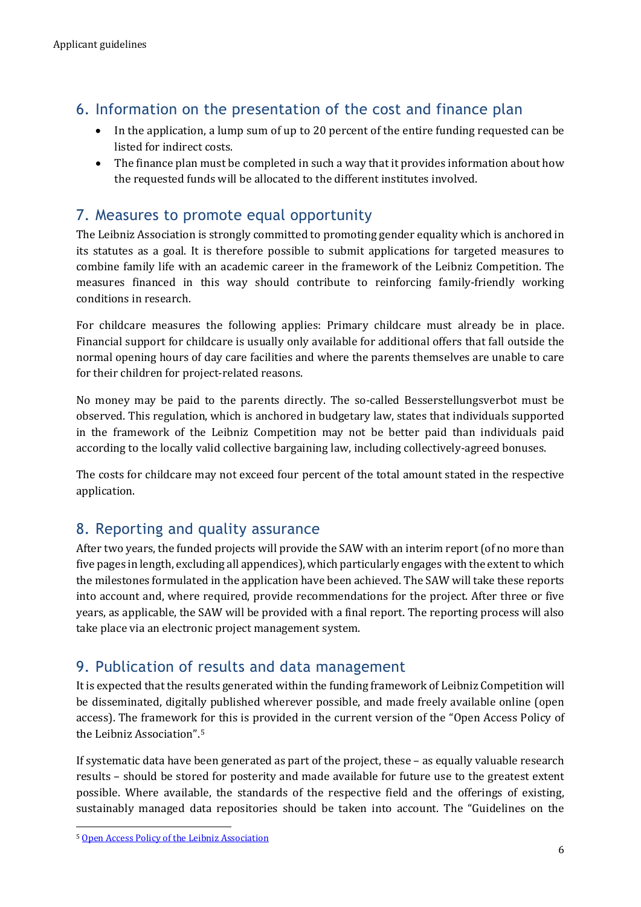# 6. Information on the presentation of the cost and finance plan

- In the application, a lump sum of up to 20 percent of the entire funding requested can be listed for indirect costs.
- The finance plan must be completed in such a way that it provides information about how the requested funds will be allocated to the different institutes involved.

## 7. Measures to promote equal opportunity

The Leibniz Association is strongly committed to promoting gender equality which is anchored in its statutes as a goal. It is therefore possible to submit applications for targeted measures to combine family life with an academic career in the framework of the Leibniz Competition. The measures financed in this way should contribute to reinforcing family-friendly working conditions in research.

For childcare measures the following applies: Primary childcare must already be in place. Financial support for childcare is usually only available for additional offers that fall outside the normal opening hours of day care facilities and where the parents themselves are unable to care for their children for project-related reasons.

No money may be paid to the parents directly. The so-called Besserstellungsverbot must be observed. This regulation, which is anchored in budgetary law, states that individuals supported in the framework of the Leibniz Competition may not be better paid than individuals paid according to the locally valid collective bargaining law, including collectively-agreed bonuses.

The costs for childcare may not exceed four percent of the total amount stated in the respective application.

### 8. Reporting and quality assurance

After two years, the funded projects will provide the SAW with an interim report (of no more than five pages in length, excluding all appendices), which particularly engages with the extent to which the milestones formulated in the application have been achieved. The SAW will take these reports into account and, where required, provide recommendations for the project. After three or five years, as applicable, the SAW will be provided with a final report. The reporting process will also take place via an electronic project management system.

## 9. Publication of results and data management

It is expected that the results generated within the funding framework of Leibniz Competition will be disseminated, digitally published wherever possible, and made freely available online (open access). The framework for this is provided in the current version of the "Open Access Policy of the Leibniz Association".[5](#page-5-0)

If systematic data have been generated as part of the project, these – as equally valuable research results – should be stored for posterity and made available for future use to the greatest extent possible. Where available, the standards of the respective field and the offerings of existing, sustainably managed data repositories should be taken into account. The "Guidelines on the

<span id="page-5-0"></span><sup>-</sup><sup>5</sup> [Open Access Policy of the Leibniz Association](https://www.leibniz-gemeinschaft.de/fileadmin/user_upload/Bilder_und_Downloads/Forschung/Open_Science/Open_Access_Policy_web.pdf)